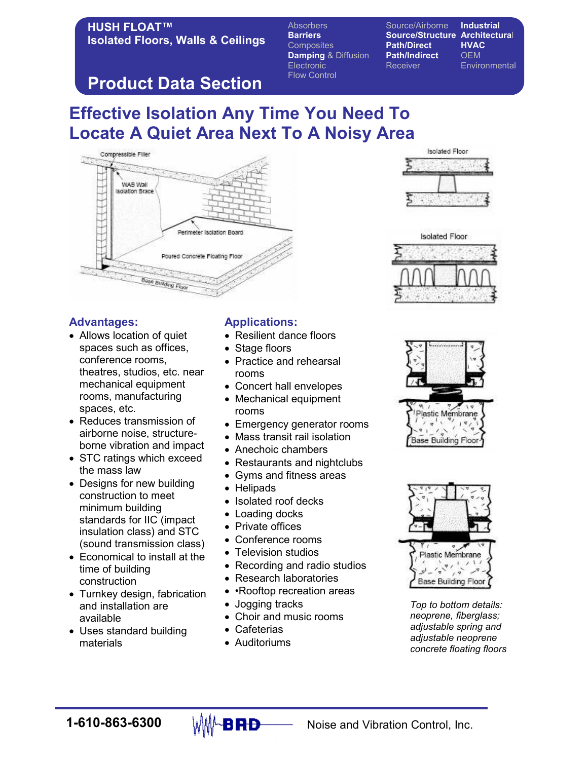### HUSH FLOAT™ Isolated Floors, Walls & Ceilings

Barriers Source/Structure Architectural Composites **Path/Direct HVAC Damping & Diffusion Path/Indirect OEM** Electronic Receiver Receiver Environmental Flow Control

Absorbers Source/Airborne Industrial

# Product Data Section

## Effective Isolation Any Time You Need To Locate A Quiet Area Next To A Noisy Area



#### Advantages:

- Allows location of quiet spaces such as offices, conference rooms, theatres, studios, etc. near mechanical equipment rooms, manufacturing spaces, etc.
- Reduces transmission of airborne noise, structureborne vibration and impact
- STC ratings which exceed the mass law
- Designs for new building construction to meet minimum building standards for IIC (impact insulation class) and STC (sound transmission class)
- Economical to install at the time of building construction
- Turnkey design, fabrication and installation are available
- Uses standard building materials

### Applications:

- Resilient dance floors
- Stage floors
- Practice and rehearsal rooms
- Concert hall envelopes
- Mechanical equipment rooms
- Emergency generator rooms
- Mass transit rail isolation
- Anechoic chambers
- Restaurants and nightclubs
- Gyms and fitness areas
- Helipads
- Isolated roof decks
- Loading docks
- Private offices
- Conference rooms
- Television studios
- Recording and radio studios
- Research laboratories
- Rooftop recreation areas
- Jogging tracks
- Choir and music rooms
- Cafeterias
- Auditoriums









Top to bottom details: neoprene, fiberglass; adjustable spring and adjustable neoprene concrete floating floors